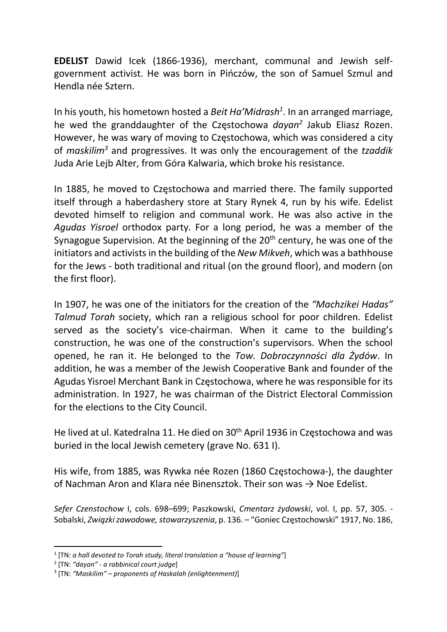EDELIST Dawid Icek (1866-1936), merchant, communal and Jewish selfgovernment activist. He was born in Pińczów, the son of Samuel Szmul and Hendla née Sztern.

In his youth, his hometown hosted a Beit Ha'Midrash<sup>1</sup>. In an arranged marriage, he wed the granddaughter of the Częstochowa dayan<sup>2</sup> Jakub Eliasz Rozen. However, he was wary of moving to Częstochowa, which was considered a city of maskilim<sup>3</sup> and progressives. It was only the encouragement of the tzaddik Juda Arie Lejb Alter, from Góra Kalwaria, which broke his resistance.

In 1885, he moved to Częstochowa and married there. The family supported itself through a haberdashery store at Stary Rynek 4, run by his wife. Edelist devoted himself to religion and communal work. He was also active in the Agudas Yisroel orthodox party. For a long period, he was a member of the Synagogue Supervision. At the beginning of the 20<sup>th</sup> century, he was one of the initiators and activists in the building of the New Mikveh, which was a bathhouse for the Jews - both traditional and ritual (on the ground floor), and modern (on the first floor).

In 1907, he was one of the initiators for the creation of the "Machzikei Hadas" Talmud Torah society, which ran a religious school for poor children. Edelist served as the society's vice-chairman. When it came to the building's construction, he was one of the construction's supervisors. When the school opened, he ran it. He belonged to the Tow. Dobroczynności dla Żydów. In addition, he was a member of the Jewish Cooperative Bank and founder of the Agudas Yisroel Merchant Bank in Częstochowa, where he was responsible for its administration. In 1927, he was chairman of the District Electoral Commission for the elections to the City Council.

He lived at ul. Katedralna 11. He died on 30<sup>th</sup> April 1936 in Częstochowa and was buried in the local Jewish cemetery (grave No. 631 I).

His wife, from 1885, was Rywka née Rozen (1860 Częstochowa-), the daughter of Nachman Aron and Klara née Binensztok. Their son was  $\rightarrow$  Noe Edelist.

Sefer Czenstochow I, cols. 698–699; Paszkowski, Cmentarz żydowski, vol. I, pp. 57, 305. - Sobalski, Związki zawodowe, stowarzyszenia, p. 136. – "Goniec Częstochowski" 1917, No. 186,

 $1$  [TN: a hall devoted to Torah study, literal translation a "house of learning"]

<sup>&</sup>lt;sup>2</sup> [TN: "dayan" - a rabbinical court judge]

 $3$  [TN: "Maskilim" – proponents of Haskalah (enlightenment)]